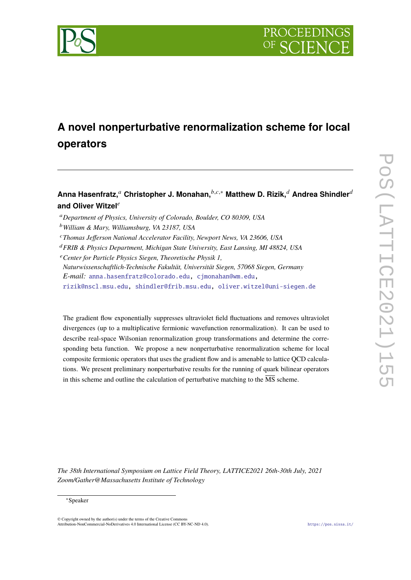

# **A novel nonperturbative renormalization scheme for local operators**

# **Anna Hasenfratz,**<sup>*a*</sup> Christopher J. Monahan, *b.c.*\* Matthew D. Rizik,<sup>*d*</sup> Andrea Shindler<sup>*d*</sup> and Oliver Witzel<sup>e</sup>

<sup>𝑎</sup>*Department of Physics, University of Colorado, Boulder, CO 80309, USA*

- <sup>𝑐</sup>*Thomas Jefferson National Accelerator Facility, Newport News, VA 23606, USA*
- <sup>𝑑</sup>*FRIB & Physics Department, Michigan State University, East Lansing, MI 48824, USA*
- <sup>𝑒</sup>*Center for Particle Physics Siegen, Theoretische Physik 1,*
- *Naturwissenschaftlich-Technische Fakultät, Universität Siegen, 57068 Siegen, Germany E-mail:* [anna.hasenfratz@colorado.edu,](mailto:anna.hasenfratz@colorado.edu) [cjmonahan@wm.edu,](mailto:cjmonahan@wm.edu)
- [rizik@nscl.msu.edu,](mailto:rizik@nscl.msu.edu) [shindler@frib.msu.edu,](mailto:shindler@frib.msu.edu) [oliver.witzel@uni-siegen.de](mailto:oliver.witzel@uni-siegen.de)

The gradient flow exponentially suppresses ultraviolet field fluctuations and removes ultraviolet divergences (up to a multiplicative fermionic wavefunction renormalization). It can be used to describe real-space Wilsonian renormalization group transformations and determine the corresponding beta function. We propose a new nonperturbative renormalization scheme for local composite fermionic operators that uses the gradient flow and is amenable to lattice QCD calculations. We present preliminary nonperturbative results for the running of quark bilinear operators in this scheme and outline the calculation of perturbative matching to the  $\overline{\text{MS}}$  scheme.

*The 38th International Symposium on Lattice Field Theory, LATTICE2021 26th-30th July, 2021 Zoom/Gather@Massachusetts Institute of Technology*

#### ∗Speaker

 $\odot$  Copyright owned by the author(s) under the terms of the Creative Common Attribution-NonCommercial-NoDerivatives 4.0 International License (CC BY-NC-ND 4.0). <https://pos.sissa.it/>

<sup>𝑏</sup>*William & Mary, Williamsburg, VA 23187, USA*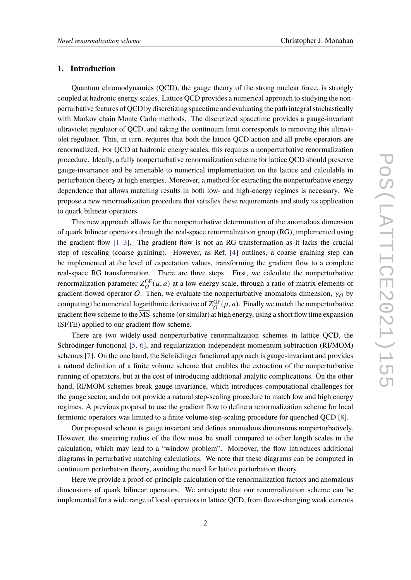#### **1. Introduction**

Quantum chromodynamics (QCD), the gauge theory of the strong nuclear force, is strongly coupled at hadronic energy scales. Lattice QCD provides a numerical approach to studying the nonperturbative features of QCD by discretizing spacetime and evaluating the path integral stochastically with Markov chain Monte Carlo methods. The discretized spacetime provides a gauge-invariant ultraviolet regulator of QCD, and taking the continuum limit corresponds to removing this ultraviolet regulator. This, in turn, requires that both the lattice QCD action and all probe operators are renormalized. For QCD at hadronic energy scales, this requires a nonperturbative renormalization procedure. Ideally, a fully nonperturbative renormalization scheme for lattice QCD should preserve gauge-invariance and be amenable to numerical implementation on the lattice and calculable in perturbation theory at high energies. Moreover, a method for extracting the nonperturbative energy dependence that allows matching results in both low- and high-energy regimes is necessary. We propose a new renormalization procedure that satisfies these requirements and study its application to quark bilinear operators.

This new approach allows for the nonperturbative determination of the anomalous dimension of quark bilinear operators through the real-space renormalization group (RG), implemented using the gradient flow  $[1-3]$  $[1-3]$ . The gradient flow is not an RG transformation as it lacks the crucial step of rescaling (coarse graining). However, as Ref. [\[4\]](#page-8-2) outlines, a coarse graining step can be implemented at the level of expectation values, transforming the gradient flow to a complete real-space RG transformation. There are three steps. First, we calculate the nonperturbative renormalization parameter  $Z_{\alpha}^{\text{GF}}$  $O^{GF}(\mu, a)$  at a low-energy scale, through a ratio of matrix elements of gradient-flowed operator O. Then, we evaluate the nonperturbative anomalous dimension,  $\gamma_O$  by computing the numerical logarithmic derivative of  $Z_{\alpha}^{\text{GF}}$  $O^{GF}(\mu, a)$ . Finally we match the nonperturbative gradient flow scheme to the  $\overline{\text{MS}}$ -scheme (or similar) at high energy, using a short flow time expansion (SFTE) applied to our gradient flow scheme.

There are two widely-used nonperturbative renormalization schemes in lattice QCD, the Schrödinger functional [\[5,](#page-8-3) [6\]](#page-8-4), and regularization-independent momentum subtraction (RI/MOM) schemes [\[7\]](#page-8-5). On the one hand, the Schrödinger functional approach is gauge-invariant and provides a natural definition of a finite volume scheme that enables the extraction of the nonperturbative running of operators, but at the cost of introducing additional analytic complications. On the other hand, RI/MOM schemes break gauge invariance, which introduces computational challenges for the gauge sector, and do not provide a natural step-scaling procedure to match low and high energy regimes. A previous proposal to use the gradient flow to define a renormalization scheme for local fermionic operators was limited to a finite volume step-scaling procedure for quenched QCD [\[8\]](#page-9-0).

Our proposed scheme is gauge invariant and defines anomalous dimensions nonperturbatively. However, the smearing radius of the flow must be small compared to other length scales in the calculation, which may lead to a "window problem". Moreover, the flow introduces additional diagrams in perturbative matching calculations. We note that these diagrams can be computed in continuum perturbation theory, avoiding the need for lattice perturbation theory.

Here we provide a proof-of-principle calculation of the renormalization factors and anomalous dimensions of quark bilinear operators. We anticipate that our renormalization scheme can be implemented for a wide range of local operators in lattice QCD, from flavor-changing weak currents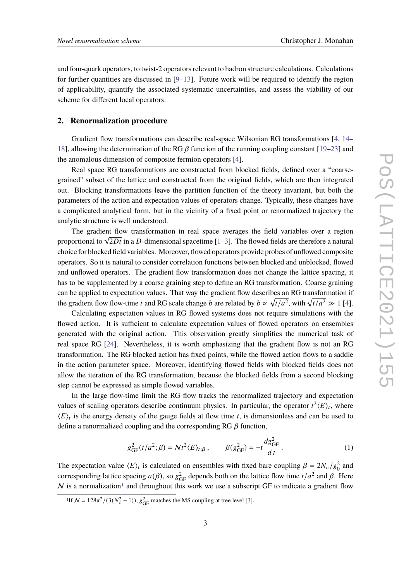and four-quark operators, to twist-2 operators relevant to hadron structure calculations. Calculations for further quantities are discussed in  $[9-13]$  $[9-13]$ . Future work will be required to identify the region of applicability, quantify the associated systematic uncertainties, and assess the viability of our scheme for different local operators.

#### **2. Renormalization procedure**

Gradient flow transformations can describe real-space Wilsonian RG transformations [\[4,](#page-8-2) [14–](#page-9-3) [18\]](#page-9-4), allowing the determination of the RG  $\beta$  function of the running coupling constant [\[19–](#page-9-5)[23\]](#page-10-0) and the anomalous dimension of composite fermion operators [\[4\]](#page-8-2).

Real space RG transformations are constructed from blocked fields, defined over a "coarsegrained" subset of the lattice and constructed from the original fields, which are then integrated out. Blocking transformations leave the partition function of the theory invariant, but both the parameters of the action and expectation values of operators change. Typically, these changes have a complicated analytical form, but in the vicinity of a fixed point or renormalized trajectory the analytic structure is well understood.

The gradient flow transformation in real space averages the field variables over a region The gradient now transformation in rear space averages the field variables over a region proportional to  $\sqrt{2Dt}$  in a D-dimensional spacetime [\[1](#page-8-0)[–3\]](#page-8-1). The flowed fields are therefore a natural choice for blocked field variables. Moreover, flowed operators provide probes of unflowed composite operators. So it is natural to consider correlation functions between blocked and unblocked, flowed and unflowed operators. The gradient flow transformation does not change the lattice spacing, it has to be supplemented by a coarse graining step to define an RG transformation. Coarse graining can be applied to expectation values. That way the gradient flow describes an RG transformation if the gradient flow flow-time t and RG scale change b are related by  $b \propto \sqrt{t/a^2}$ , with  $\sqrt{t/a^2} \gg 1$  [\[4\]](#page-8-2).

Calculating expectation values in RG flowed systems does not require simulations with the flowed action. It is sufficient to calculate expectation values of flowed operators on ensembles generated with the original action. This observation greatly simplifies the numerical task of real space RG [\[24\]](#page-10-1). Nevertheless, it is worth emphasizing that the gradient flow is not an RG transformation. The RG blocked action has fixed points, while the flowed action flows to a saddle in the action parameter space. Moreover, identifying flowed fields with blocked fields does not allow the iteration of the RG transformation, because the blocked fields from a second blocking step cannot be expressed as simple flowed variables.

In the large flow-time limit the RG flow tracks the renormalized trajectory and expectation values of scaling operators describe continuum physics. In particular, the operator  $t^2 \langle E \rangle_t$ , where  $\langle E \rangle_t$  is the energy density of the gauge fields at flow time t, is dimensionless and can be used to define a renormalized coupling and the corresponding RG  $\beta$  function,

<span id="page-2-1"></span>
$$
g_{\text{GF}}^2(t/a^2;\beta) = \mathcal{N}t^2 \langle E \rangle_{t;\beta}, \qquad \beta(g_{\text{GF}}^2) = -t \frac{dg_{\text{GF}}^2}{d\,t} \,. \tag{1}
$$

The expectation value  $\langle E \rangle_t$  is calculated on ensembles with fixed bare coupling  $\beta = 2N_c/g_0^2$  and corresponding lattice spacing  $a(\beta)$ , so  $g_{GF}^2$  depends both on the lattice flow time  $t/a^2$  and  $\beta$ . Here  $N$  is a normalization<sup>[1](#page-2-0)</sup> and throughout this work we use a subscript GF to indicate a gradient flow

<span id="page-2-0"></span><sup>&</sup>lt;sup>1</sup>If  $N = 128\pi^2/(3(N_c^2 - 1))$ ,  $g_{\text{GF}}^2$  matches the  $\overline{\text{MS}}$  coupling at tree level [\[3\]](#page-8-1).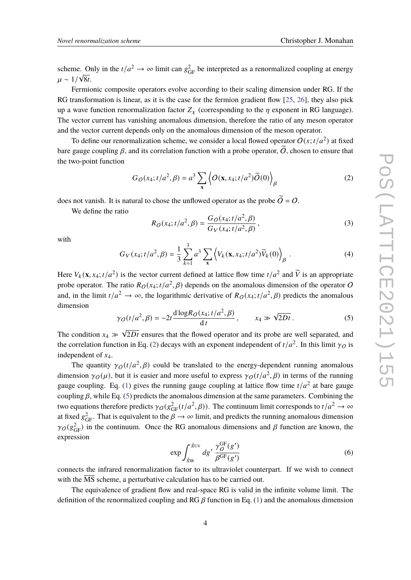scheme. Only in the  $t/a^2 \to \infty$  limit can  $g_{GF}^2$  be interpreted as a renormalized coupling at energy  $\mu \sim 1/\sqrt{8t}$ .

Fermionic composite operators evolve according to their scaling dimension under RG. If the RG transformation is linear, as it is the case for the fermion gradient flow [\[25,](#page-10-2) [26\]](#page-10-3), they also pick up a wave function renormalization factor  $Z_{\chi}$  (corresponding to the  $\eta$  exponent in RG language). The vector current has vanishing anomalous dimension, therefore the ratio of any meson operator and the vector current depends only on the anomalous dimension of the meson operator.

To define our renormalization scheme, we consider a local flowed operator  $O(x; t/a^2)$  at fixed bare gauge coupling  $\beta$ , and its correlation function with a probe operator,  $\tilde{O}$ , chosen to ensure that the two-point function

<span id="page-3-0"></span>
$$
G_O(x_4; t/a^2, \beta) = a^3 \sum_{\mathbf{x}} \left\langle O(\mathbf{x}, x_4; t/a^2) \widetilde{O}(0) \right\rangle_{\beta}
$$
 (2)

does not vanish. It is natural to chose the unflowed operator as the probe  $\widetilde{O} = O$ .

We define the ratio

<span id="page-3-2"></span>
$$
R_O(x_4; t/a^2, \beta) = \frac{G_O(x_4; t/a^2, \beta)}{G_V(x_4; t/a^2, \beta)},
$$
\n(3)

with

$$
G_V(x_4; t/a^2, \beta) = \frac{1}{3} \sum_{k=1}^3 a^3 \sum_{\mathbf{x}} \left\langle V_k(\mathbf{x}, x_4; t/a^2) \widetilde{V}_k(0) \right\rangle_{\beta} . \tag{4}
$$

Here  $V_k(\mathbf{x}, x_4; t/a^2)$  is the vector current defined at lattice flow time  $t/a^2$  and  $\tilde{V}$  is an appropriate probe operator. The ratio  $R_O(x_4; t/a^2, \beta)$  depends on the anomalous dimension of the operator O and, in the limit  $t/a^2 \to \infty$ , the logarithmic derivative of  $R_O(x_4; t/a^2, \beta)$  predicts the anomalous dimension

<span id="page-3-1"></span>
$$
\gamma_O(t/a^2, \beta) = -2t \frac{\text{d}\log R_O(x_4; t/a^2, \beta)}{\text{d}t}, \qquad x_4 \gg \sqrt{2Dt} \,. \tag{5}
$$

The condition  $x_4 \gg \sqrt{2Dt}$  ensures that the flowed operator and its probe are well separated, and the correlation function in Eq. [\(2\)](#page-3-0) decays with an exponent independent of  $t/a^2$ . In this limit  $\gamma_O$  is independent of  $x_4$ .

The quantity  $\gamma_O(t/a^2, \beta)$  could be translated to the energy-dependent running anomalous dimension  $\gamma_O(\mu)$ , but it is easier and more useful to express  $\gamma_O(t/a^2, \beta)$  in terms of the running gauge coupling. Eq. [\(1\)](#page-2-1) gives the running gauge coupling at lattice flow time  $t/a^2$  at bare gauge coupling  $\beta$ , while Eq. [\(5\)](#page-3-1) predicts the anomalous dimension at the same parameters. Combining the two equations therefore predicts  $\gamma_O(g^2_{\rm GF}(t/a^2, \beta))$ . The continuum limit corresponds to  $t/a^2 \to \infty$ at fixed  $g_{\text{GF}}^2$ . That is equivalent to the  $\beta \to \infty$  limit, and predicts the running anomalous dimension  $\gamma_O(g_{\text{GF}}^2)$  in the continuum. Once the RG anomalous dimensions and  $\beta$  function are known, the expression

<span id="page-3-3"></span>
$$
\exp \int_{\bar{g}_{IR}}^{\bar{g}_{UV}} dg' \frac{\gamma_O^{\rm GF}(g')}{\beta^{\rm GF}(g')} \tag{6}
$$

connects the infrared renormalization factor to its ultraviolet counterpart. If we wish to connect with the  $\overline{MS}$  scheme, a perturbative calculation has to be carried out.

The equivalence of gradient flow and real-space RG is valid in the infinite volume limit. The definition of the renormalized coupling and RG  $\beta$  function in Eq. [\(1\)](#page-2-1) and the anomalous dimension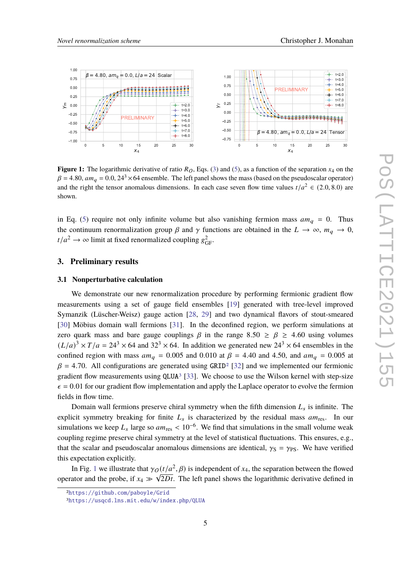<span id="page-4-2"></span>

**Figure 1:** The logarithmic derivative of ratio  $R_O$ , Eqs. [\(3\)](#page-3-2) and [\(5\)](#page-3-1), as a function of the separation  $x_4$  on the  $\beta$  = 4.80,  $am_a$  = 0.0, 24<sup>3</sup> × 64 ensemble. The left panel shows the mass (based on the pseudoscalar operator) and the right the tensor anomalous dimensions. In each case seven flow time values  $t/a^2 \in (2.0, 8.0)$  are shown.

in Eq. [\(5\)](#page-3-1) require not only infinite volume but also vanishing fermion mass  $am_q = 0$ . Thus the continuum renormalization group  $\beta$  and  $\gamma$  functions are obtained in the  $L \to \infty$ ,  $m_q \to 0$ ,  $t/a^2 \to \infty$  limit at fixed renormalized coupling  $g_{\text{GF}}^2$ .

### **3. Preliminary results**

#### **3.1 Nonperturbative calculation**

We demonstrate our new renormalization procedure by performing fermionic gradient flow measurements using a set of gauge field ensembles [\[19\]](#page-9-5) generated with tree-level improved Symanzik (Lüscher-Weisz) gauge action [\[28,](#page-10-4) [29\]](#page-10-5) and two dynamical flavors of stout-smeared [\[30\]](#page-10-6) Möbius domain wall fermions [\[31\]](#page-10-7). In the deconfined region, we perform simulations at zero quark mass and bare gauge couplings  $\beta$  in the range 8.50  $\geq \beta \geq 4.60$  using volumes  $(L/a)^3 \times T/a = 24^3 \times 64$  and  $32^3 \times 64$ . In addition we generated new  $24^3 \times 64$  ensembles in the confined region with mass  $am_q = 0.005$  and 0.010 at  $\beta = 4.40$  and 4.50, and  $am_q = 0.005$  at  $\beta$  = 4.70. All configurations are generated using GRID<sup>[2](#page-4-0)</sup> [\[32\]](#page-10-8) and we implemented our fermionic gradient flow measurements using  $QLUA<sup>3</sup>$  $QLUA<sup>3</sup>$  $QLUA<sup>3</sup>$  [\[33\]](#page-10-9). We choose to use the Wilson kernel with step-size  $\epsilon$  = 0.01 for our gradient flow implementation and apply the Laplace operator to evolve the fermion fields in flow time.

Domain wall fermions preserve chiral symmetry when the fifth dimension  $L_s$  is infinite. The explicit symmetry breaking for finite  $L_s$  is characterized by the residual mass  $am_{res}$ . In our simulations we keep  $L_s$  large so  $am_{\text{res}} < 10^{-6}$ . We find that simulations in the small volume weak coupling regime preserve chiral symmetry at the level of statistical fluctuations. This ensures, e.g., that the scalar and pseudoscalar anomalous dimensions are identical,  $\gamma_S = \gamma_{PS}$ . We have verified this expectation explicitly.

In Fig. [1](#page-4-2) we illustrate that  $\gamma_O(t/a^2, \beta)$  is independent of  $x_4$ , the separation between the flowed operator and the probe, if  $x_4 \gg \sqrt{2Dt}$ . The left panel shows the logarithmic derivative defined in

<span id="page-4-0"></span><sup>2</sup><https://github.com/paboyle/Grid>

<span id="page-4-1"></span><sup>3</sup><https://usqcd.lns.mit.edu/w/index.php/QLUA>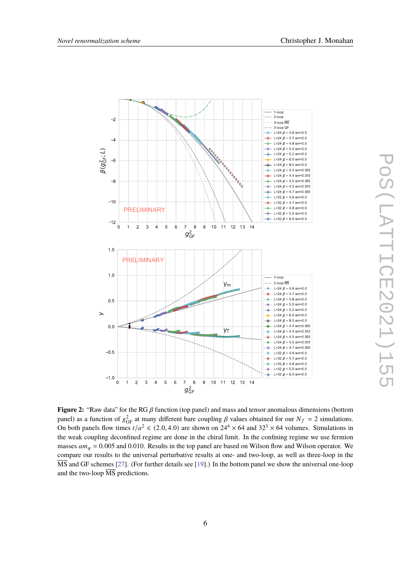<span id="page-5-0"></span>

**Figure 2:** "Raw data" for the RG  $\beta$  function (top panel) and mass and tensor anomalous dimensions (bottom panel) as a function of  $g_{GF}^2$  at many different bare coupling  $\beta$  values obtained for our  $N_f = 2$  simulations. On both panels flow times  $t/a^2 \in (2.0, 4.0)$  are shown on  $24^4 \times 64$  and  $32^3 \times 64$  volumes. Simulations in the weak coupling deconfined regime are done in the chiral limit. In the confining regime we use fermion masses  $am_q = 0.005$  and 0.010. Results in the top panel are based on Wilson flow and Wilson operator. We compare our results to the universal perturbative results at one- and two-loop, as well as three-loop in the  $\overline{\text{MS}}$  and GF schemes [\[27\]](#page-10-10). (For further details see [\[19\]](#page-9-5).) In the bottom panel we show the universal one-loop and the two-loop  $\overline{\text{MS}}$  predictions.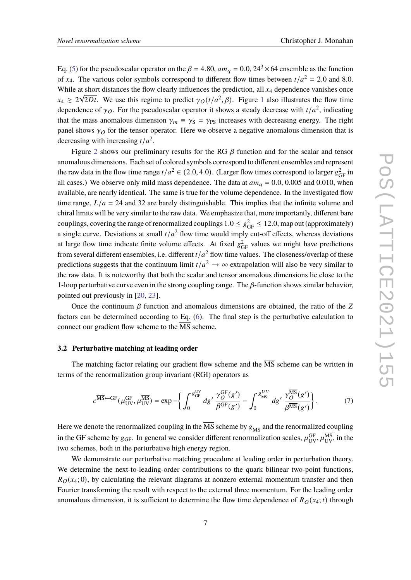Eq. [\(5\)](#page-3-1) for the pseudoscalar operator on the  $\beta = 4.80$ ,  $am_\alpha = 0.0$ ,  $24^3 \times 64$  ensemble as the function of  $x_4$ . The various color symbols correspond to different flow times between  $t/a^2 = 2.0$  and 8.0. While at short distances the flow clearly influences the prediction, all  $x_4$  dependence vanishes once  $x_4 \geq 2\sqrt{2Dt}$ . We use this regime to predict  $\gamma_O(t/a^2, \beta)$ . Figure [1](#page-4-2) also illustrates the flow time dependence of  $\gamma_O$ . For the pseudoscalar operator it shows a steady decrease with  $t/a^2$ , indicating that the mass anomalous dimension  $\gamma_m \equiv \gamma_s = \gamma_{PS}$  increases with decreasing energy. The right panel shows  $\gamma_O$  for the tensor operator. Here we observe a negative anomalous dimension that is decreasing with increasing  $t/a^2$ .

Figure [2](#page-5-0) shows our preliminary results for the RG  $\beta$  function and for the scalar and tensor anomalous dimensions. Each set of colored symbols correspond to different ensembles and represent the raw data in the flow time range  $t/a^2 \in (2.0, 4.0)$ . (Larger flow times correspond to larger  $g_{\text{GF}}^2$  in all cases.) We observe only mild mass dependence. The data at  $am_q = 0.0, 0.005$  and 0.010, when available, are nearly identical. The same is true for the volume dependence. In the investigated flow time range,  $L/a = 24$  and 32 are barely distinguishable. This implies that the infinite volume and chiral limits will be very similar to the raw data. We emphasize that, more importantly, different bare couplings, covering the range of renormalized couplings  $1.0 \leq g_{\text{GF}}^2 \leq 12.0$ , map out (approximately) a single curve. Deviations at small  $t/a^2$  flow time would imply cut-off effects, whereas deviations at large flow time indicate finite volume effects. At fixed  $g_{GF}^2$  values we might have predictions from several different ensembles, i.e. different  $t/a^2$  flow time values. The closeness/overlap of these predictions suggests that the continuum limit  $t/a^2 \to \infty$  extrapolation will also be very similar to the raw data. It is noteworthy that both the scalar and tensor anomalous dimensions lie close to the 1-loop perturbative curve even in the strong coupling range. The  $\beta$ -function shows similar behavior, pointed out previously in [\[20,](#page-9-6) [23\]](#page-10-0).

Once the continuum  $\beta$  function and anomalous dimensions are obtained, the ratio of the  $Z$ factors can be determined according to Eq. [\(6\)](#page-3-3). The final step is the perturbative calculation to connect our gradient flow scheme to the  $\overline{\text{MS}}$  scheme.

#### **3.2 Perturbative matching at leading order**

The matching factor relating our gradient flow scheme and the  $\overline{MS}$  scheme can be written in terms of the renormalization group invariant (RGI) operators as

$$
c^{\overline{\rm MS}} \leftarrow \mathrm{GF}(\mu_{\rm UV}^{\rm GF}, \mu_{\rm UV}^{\overline{\rm MS}}) = \exp \left\{ \int_0^{g_{\rm GF}^{\rm UV}} dg' \frac{\gamma_O^{\rm GF}(g')}{\beta^{\rm GF}(g')} - \int_0^{g_{\rm MS}^{\rm UV}} dg' \frac{\gamma_O^{\overline{\rm MS}}(g')}{\beta^{\overline{\rm MS}}(g')} \right\}.
$$
 (7)

Here we denote the renormalized coupling in the  $\overline{\text{MS}}$  scheme by  $g_{\overline{\text{MS}}}$  and the renormalized coupling in the GF scheme by  $g_{\text{GF}}$ . In general we consider different renormalization scales,  $\mu_{\text{UV}}^{\text{GF}}, \mu_{\text{UV}}^{\overline{\text{MS}}}$  in the two schemes, both in the perturbative high energy region.

We demonstrate our perturbative matching procedure at leading order in perturbation theory. We determine the next-to-leading-order contributions to the quark bilinear two-point functions,  $R_O(x_4; 0)$ , by calculating the relevant diagrams at nonzero external momentum transfer and then Fourier transforming the result with respect to the external three momentum. For the leading order anomalous dimension, it is sufficient to determine the flow time dependence of  $R_O(x_4; t)$  through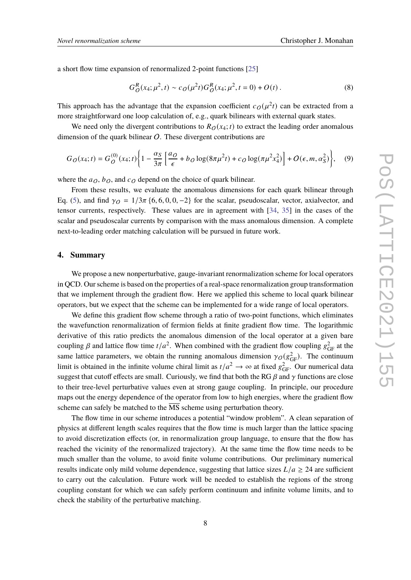a short flow time expansion of renormalized 2-point functions [\[25\]](#page-10-2)

$$
G_O^R(x_4; \mu^2, t) \sim c_O(\mu^2 t) G_O^R(x_4; \mu^2, t = 0) + O(t) \,. \tag{8}
$$

This approach has the advantage that the expansion coefficient  $c_O(\mu^2 t)$  can be extracted from a more straightforward one loop calculation of, e.g., quark bilinears with external quark states.

We need only the divergent contributions to  $R_O(x_4; t)$  to extract the leading order anomalous dimension of the quark bilinear  $O$ . These divergent contributions are

$$
G_O(x_4; t) = G_O^{(0)}(x_4; t) \left\{ 1 - \frac{\alpha_S}{3\pi} \left[ \frac{a_O}{\epsilon} + b_O \log(8\pi\mu^2 t) + c_O \log(\pi\mu^2 x_4^2) \right] + O(\epsilon, m, \alpha_S^2) \right\}, \quad (9)
$$

where the  $a_O$ ,  $b_O$ , and  $c_O$  depend on the choice of quark bilinear.

From these results, we evaluate the anomalous dimensions for each quark bilinear through Eq. [\(5\)](#page-3-1), and find  $\gamma_O = 1/3\pi$  {6, 6, 0, 0, -2} for the scalar, pseudoscalar, vector, axialvector, and tensor currents, respectively. These values are in agreement with [\[34,](#page-10-11) [35\]](#page-10-12) in the cases of the scalar and pseudoscalar currents by comparison with the mass anomalous dimension. A complete next-to-leading order matching calculation will be pursued in future work.

#### **4. Summary**

We propose a new nonperturbative, gauge-invariant renormalization scheme for local operators in QCD. Our scheme is based on the properties of a real-space renormalization group transformation that we implement through the gradient flow. Here we applied this scheme to local quark bilinear operators, but we expect that the scheme can be implemented for a wide range of local operators.

We define this gradient flow scheme through a ratio of two-point functions, which eliminates the wavefunction renormalization of fermion fields at finite gradient flow time. The logarithmic derivative of this ratio predicts the anomalous dimension of the local operator at a given bare coupling  $\beta$  and lattice flow time  $t/a^2$ . When combined with the gradient flow coupling  $g_{GF}^2$  at the same lattice parameters, we obtain the running anomalous dimension  $\gamma_O(g_{\text{GF}}^2)$ . The continuum limit is obtained in the infinite volume chiral limit as  $t/a^2 \to \infty$  at fixed  $g_{\text{GF}}^2$ . Our numerical data suggest that cutoff effects are small. Curiously, we find that both the RG  $\beta$  and  $\gamma$  functions are close to their tree-level perturbative values even at strong gauge coupling. In principle, our procedure maps out the energy dependence of the operator from low to high energies, where the gradient flow scheme can safely be matched to the MS scheme using perturbation theory.

The flow time in our scheme introduces a potential "window problem". A clean separation of physics at different length scales requires that the flow time is much larger than the lattice spacing to avoid discretization effects (or, in renormalization group language, to ensure that the flow has reached the vicinity of the renormalized trajectory). At the same time the flow time needs to be much smaller than the volume, to avoid finite volume contributions. Our preliminary numerical results indicate only mild volume dependence, suggesting that lattice sizes  $L/a \geq 24$  are sufficient to carry out the calculation. Future work will be needed to establish the regions of the strong coupling constant for which we can safely perform continuum and infinite volume limits, and to check the stability of the perturbative matching.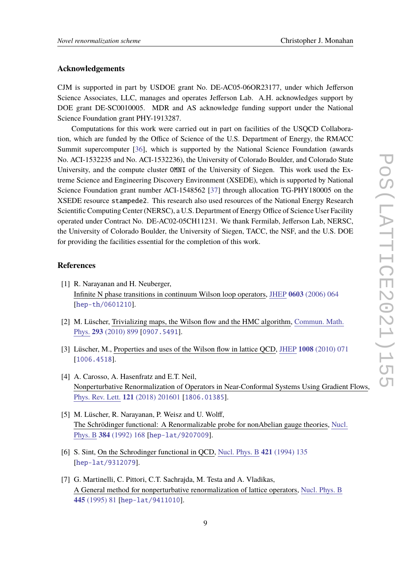#### **Acknowledgements**

CJM is supported in part by USDOE grant No. DE-AC05-06OR23177, under which Jefferson Science Associates, LLC, manages and operates Jefferson Lab. A.H. acknowledges support by DOE grant DE-SC0010005. MDR and AS acknowledge funding support under the National Science Foundation grant PHY-1913287.

Computations for this work were carried out in part on facilities of the USQCD Collaboration, which are funded by the Office of Science of the U.S. Department of Energy, the RMACC Summit supercomputer [\[36\]](#page-10-13), which is supported by the National Science Foundation (awards No. ACI-1532235 and No. ACI-1532236), the University of Colorado Boulder, and Colorado State University, and the compute cluster OMNI of the University of Siegen. This work used the Extreme Science and Engineering Discovery Environment (XSEDE), which is supported by National Science Foundation grant number ACI-1548562 [\[37\]](#page-11-0) through allocation TG-PHY180005 on the XSEDE resource stampede2. This research also used resources of the National Energy Research Scientific Computing Center (NERSC), a U.S. Department of Energy Office of Science User Facility operated under Contract No. DE-AC02-05CH11231. We thank Fermilab, Jefferson Lab, NERSC, the University of Colorado Boulder, the University of Siegen, TACC, the NSF, and the U.S. DOE for providing the facilities essential for the completion of this work.

## **References**

- <span id="page-8-0"></span>[1] R. Narayanan and H. Neuberger, Infinite N phase transitions in continuum Wilson loop operators, JHEP **0603** [\(2006\) 064](https://doi.org/10.1088/1126-6708/2006/03/064) [[hep-th/0601210](https://arxiv.org/abs/hep-th/0601210)].
- [2] M. Lüscher, Trivializing maps, the Wilson flow and the HMC algorithm, [Commun.](https://doi.org/10.1007/s00220-009-0953-7) Math. Phys. **293** [\(2010\) 899](https://doi.org/10.1007/s00220-009-0953-7) [[0907.5491](https://arxiv.org/abs/0907.5491)].
- <span id="page-8-1"></span>[3] Lüscher, M., Properties and uses of the Wilson flow in lattice QCD, JHEP **1008** [\(2010\) 071](https://doi.org/10.1007/JHEP08(2010)071) [[1006.4518](https://arxiv.org/abs/1006.4518)].
- <span id="page-8-2"></span>[4] A. Carosso, A. Hasenfratz and E.T. Neil, Nonperturbative Renormalization of Operators in Near-Conformal Systems Using Gradient Flows, Phys. Rev. Lett. **121** [\(2018\) 201601](https://doi.org/10.1103/PhysRevLett.121.201601) [[1806.01385](https://arxiv.org/abs/1806.01385)].
- <span id="page-8-3"></span>[5] M. Lüscher, R. Narayanan, P. Weisz and U. Wolff, The Schrödinger functional: A Renormalizable probe for nonAbelian gauge theories, [Nucl.](https://doi.org/10.1016/0550-3213(92)90466-O) Phys. B **384** [\(1992\) 168](https://doi.org/10.1016/0550-3213(92)90466-O) [[hep-lat/9207009](https://arxiv.org/abs/hep-lat/9207009)].
- <span id="page-8-4"></span>[6] S. Sint, On the Schrodinger functional in QCD, Nucl. Phys. B **421** [\(1994\) 135](https://doi.org/10.1016/0550-3213(94)90228-3) [[hep-lat/9312079](https://arxiv.org/abs/hep-lat/9312079)].
- <span id="page-8-5"></span>[7] G. Martinelli, C. Pittori, C.T. Sachrajda, M. Testa and A. Vladikas, A General method for nonperturbative renormalization of lattice operators, [Nucl.](https://doi.org/10.1016/0550-3213(95)00126-D) Phys. B **445** [\(1995\) 81](https://doi.org/10.1016/0550-3213(95)00126-D) [[hep-lat/9411010](https://arxiv.org/abs/hep-lat/9411010)].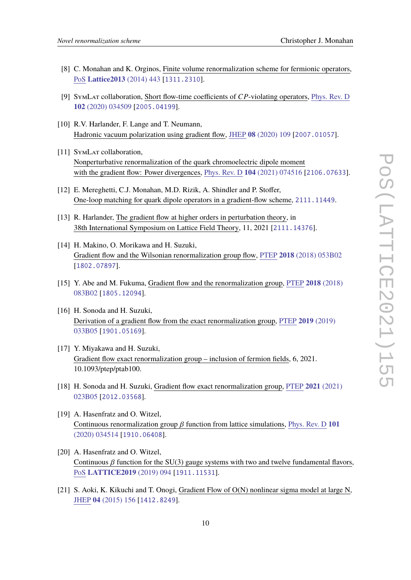- <span id="page-9-0"></span>[8] C. Monahan and K. Orginos, Finite volume renormalization scheme for fermionic operators, PoS **[Lattice2013](https://doi.org/10.22323/1.187.0443)** (2014) 443 [[1311.2310](https://arxiv.org/abs/1311.2310)].
- <span id="page-9-1"></span>[9] SYMLAT collaboration, Short flow-time coefficients of CP-violating operators, [Phys.](https://doi.org/10.1103/PhysRevD.102.034509) Rev. D **102** [\(2020\) 034509](https://doi.org/10.1103/PhysRevD.102.034509) [[2005.04199](https://arxiv.org/abs/2005.04199)].
- [10] R.V. Harlander, F. Lange and T. Neumann, Hadronic vacuum polarization using gradient flow, JHEP **08** [\(2020\) 109](https://doi.org/10.1007/JHEP08(2020)109) [[2007.01057](https://arxiv.org/abs/2007.01057)].
- [11] SYMLAT collaboration, Nonperturbative renormalization of the quark chromoelectric dipole moment with the gradient flow: Power divergences, Phys. Rev. D **104** [\(2021\) 074516](https://doi.org/10.1103/PhysRevD.104.074516) [[2106.07633](https://arxiv.org/abs/2106.07633)].
- [12] E. Mereghetti, C.J. Monahan, M.D. Rizik, A. Shindler and P. Stoffer, One-loop matching for quark dipole operators in a gradient-flow scheme, [2111.11449](https://arxiv.org/abs/2111.11449).
- <span id="page-9-2"></span>[13] R. Harlander, The gradient flow at higher orders in perturbation theory, in 38th International Symposium on Lattice Field Theory, 11, 2021 [[2111.14376](https://arxiv.org/abs/2111.14376)].
- <span id="page-9-3"></span>[14] H. Makino, O. Morikawa and H. Suzuki, Gradient flow and the Wilsonian renormalization group flow, PTEP **2018** [\(2018\) 053B02](https://doi.org/10.1093/ptep/pty050) [[1802.07897](https://arxiv.org/abs/1802.07897)].
- [15] Y. Abe and M. Fukuma, Gradient flow and the renormalization group, PTEP **2018** [\(2018\)](https://doi.org/10.1093/ptep/pty081) [083B02](https://doi.org/10.1093/ptep/pty081) [[1805.12094](https://arxiv.org/abs/1805.12094)].
- [16] H. Sonoda and H. Suzuki, Derivation of a gradient flow from the exact renormalization group, PTEP **2019** [\(2019\)](https://doi.org/10.1093/ptep/ptz020) [033B05](https://doi.org/10.1093/ptep/ptz020) [[1901.05169](https://arxiv.org/abs/1901.05169)].
- [17] Y. Miyakawa and H. Suzuki, Gradient flow exact renormalization group – inclusion of fermion fields, 6, 2021. 10.1093/ptep/ptab100.
- <span id="page-9-4"></span>[18] H. Sonoda and H. Suzuki, Gradient flow exact renormalization group, PTEP **2021** [\(2021\)](https://doi.org/10.1093/ptep/ptab006) [023B05](https://doi.org/10.1093/ptep/ptab006) [[2012.03568](https://arxiv.org/abs/2012.03568)].
- <span id="page-9-5"></span>[19] A. Hasenfratz and O. Witzel, Continuous renormalization group  $\beta$  function from lattice simulations, [Phys.](https://doi.org/10.1103/PhysRevD.101.034514) Rev. D 101 [\(2020\) 034514](https://doi.org/10.1103/PhysRevD.101.034514) [[1910.06408](https://arxiv.org/abs/1910.06408)].
- <span id="page-9-6"></span>[20] A. Hasenfratz and O. Witzel, Continuous  $\beta$  function for the SU(3) gauge systems with two and twelve fundamental flavors, PoS **[LATTICE2019](https://doi.org/10.22323/1.363.0094)** (2019) 094 [[1911.11531](https://arxiv.org/abs/1911.11531)].
- [21] S. Aoki, K. Kikuchi and T. Onogi, Gradient Flow of O(N) nonlinear sigma model at large N, JHEP **04** [\(2015\) 156](https://doi.org/10.1007/JHEP04(2015)156) [[1412.8249](https://arxiv.org/abs/1412.8249)].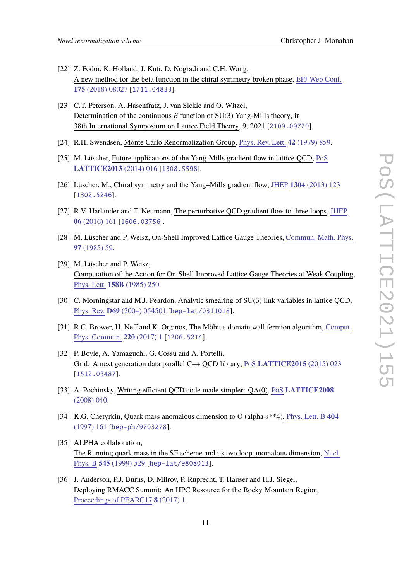- [22] Z. Fodor, K. Holland, J. Kuti, D. Nogradi and C.H. Wong, A new method for the beta function in the chiral symmetry broken phase, EPJ Web [Conf.](https://doi.org/10.1051/epjconf/201817508027) **175** [\(2018\) 08027](https://doi.org/10.1051/epjconf/201817508027) [[1711.04833](https://arxiv.org/abs/1711.04833)].
- <span id="page-10-0"></span>[23] C.T. Peterson, A. Hasenfratz, J. van Sickle and O. Witzel, Determination of the continuous  $\beta$  function of SU(3) Yang-Mills theory, in 38th International Symposium on Lattice Field Theory, 9, 2021 [[2109.09720](https://arxiv.org/abs/2109.09720)].
- <span id="page-10-1"></span>[24] R.H. Swendsen, Monte Carlo Renormalization Group, Phys. Rev. Lett. **42** [\(1979\) 859.](https://doi.org/10.1103/PhysRevLett.42.859)
- <span id="page-10-2"></span>[25] M. Lüscher, Future applications of the Yang-Mills gradient flow in lattice QCD, [PoS](https://doi.org/10.22323/1.187.0016) **[LATTICE2013](https://doi.org/10.22323/1.187.0016)** (2014) 016 [[1308.5598](https://arxiv.org/abs/1308.5598)].
- <span id="page-10-3"></span>[26] Lüscher, M., Chiral symmetry and the Yang–Mills gradient flow, JHEP **1304** [\(2013\) 123](https://doi.org/10.1007/JHEP04(2013)123) [[1302.5246](https://arxiv.org/abs/1302.5246)].
- <span id="page-10-10"></span>[27] R.V. Harlander and T. Neumann, The perturbative QCD gradient flow to three loops, [JHEP](https://doi.org/10.1007/JHEP06(2016)161) **06** [\(2016\) 161](https://doi.org/10.1007/JHEP06(2016)161) [[1606.03756](https://arxiv.org/abs/1606.03756)].
- <span id="page-10-4"></span>[28] M. Lüscher and P. Weisz, On-Shell Improved Lattice Gauge Theories, [Commun.](https://doi.org/10.1007/BF01206178) Math. Phys. **97** [\(1985\) 59.](https://doi.org/10.1007/BF01206178)
- <span id="page-10-5"></span>[29] M. Lüscher and P. Weisz, Computation of the Action for On-Shell Improved Lattice Gauge Theories at Weak Coupling, Phys. Lett. **158B** [\(1985\) 250.](https://doi.org/10.1016/0370-2693(85)90966-9)
- <span id="page-10-6"></span>[30] C. Morningstar and M.J. Peardon, Analytic smearing of SU(3) link variables in lattice QCD, Phys. Rev. **D69** [\(2004\) 054501](https://doi.org/10.1103/PhysRevD.69.054501) [[hep-lat/0311018](https://arxiv.org/abs/hep-lat/0311018)].
- <span id="page-10-7"></span>[31] R.C. Brower, H. Neff and K. Orginos, The Möbius domain wall fermion algorithm, [Comput.](https://doi.org/10.1016/j.cpc.2017.01.024) Phys. [Commun.](https://doi.org/10.1016/j.cpc.2017.01.024) **220** (2017) 1 [[1206.5214](https://arxiv.org/abs/1206.5214)].
- <span id="page-10-8"></span>[32] P. Boyle, A. Yamaguchi, G. Cossu and A. Portelli, Grid: A next generation data parallel C++ QCD library, PoS **[LATTICE2015](https://doi.org/10.22323/1.251.0023)** (2015) 023 [[1512.03487](https://arxiv.org/abs/1512.03487)].
- <span id="page-10-9"></span>[33] A. Pochinsky, Writing efficient QCD code made simpler: QA(0), PoS **[LATTICE2008](https://doi.org/10.22323/1.066.0040)** [\(2008\) 040.](https://doi.org/10.22323/1.066.0040)
- <span id="page-10-11"></span>[34] K.G. Chetyrkin, Quark mass anomalous dimension to O (alpha-s\*\*4), [Phys.](https://doi.org/10.1016/S0370-2693(97)00535-2) Lett. B **404** [\(1997\) 161](https://doi.org/10.1016/S0370-2693(97)00535-2) [[hep-ph/9703278](https://arxiv.org/abs/hep-ph/9703278)].
- <span id="page-10-12"></span>[35] ALPHA collaboration, The Running quark mass in the SF scheme and its two loop anomalous dimension, [Nucl.](https://doi.org/10.1016/S0550-3213(98)00874-8) Phys. B **545** [\(1999\) 529](https://doi.org/10.1016/S0550-3213(98)00874-8) [[hep-lat/9808013](https://arxiv.org/abs/hep-lat/9808013)].
- <span id="page-10-13"></span>[36] J. Anderson, P.J. Burns, D. Milroy, P. Ruprecht, T. Hauser and H.J. Siegel, Deploying RMACC Summit: An HPC Resource for the Rocky Mountain Region, [Proceedings](https://doi.org/10.1145/3093338.3093379) of PEARC17 **8** (2017) 1.